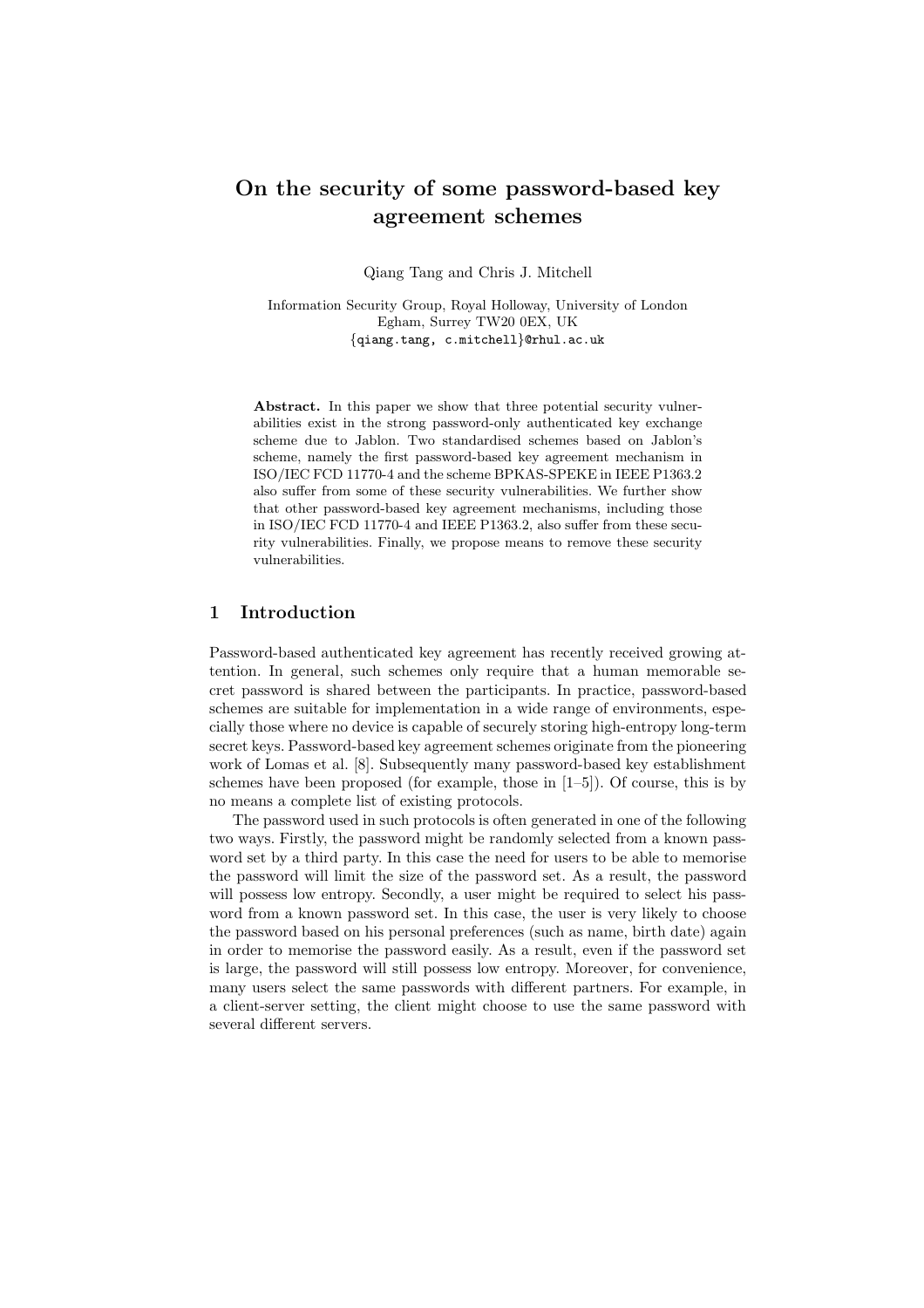# On the security of some password-based key agreement schemes

Qiang Tang and Chris J. Mitchell

Information Security Group, Royal Holloway, University of London Egham, Surrey TW20 0EX, UK {qiang.tang, c.mitchell}@rhul.ac.uk

Abstract. In this paper we show that three potential security vulnerabilities exist in the strong password-only authenticated key exchange scheme due to Jablon. Two standardised schemes based on Jablon's scheme, namely the first password-based key agreement mechanism in ISO/IEC FCD 11770-4 and the scheme BPKAS-SPEKE in IEEE P1363.2 also suffer from some of these security vulnerabilities. We further show that other password-based key agreement mechanisms, including those in ISO/IEC FCD 11770-4 and IEEE P1363.2, also suffer from these security vulnerabilities. Finally, we propose means to remove these security vulnerabilities.

## 1 Introduction

Password-based authenticated key agreement has recently received growing attention. In general, such schemes only require that a human memorable secret password is shared between the participants. In practice, password-based schemes are suitable for implementation in a wide range of environments, especially those where no device is capable of securely storing high-entropy long-term secret keys. Password-based key agreement schemes originate from the pioneering work of Lomas et al. [8]. Subsequently many password-based key establishment schemes have been proposed (for example, those in [1–5]). Of course, this is by no means a complete list of existing protocols.

The password used in such protocols is often generated in one of the following two ways. Firstly, the password might be randomly selected from a known password set by a third party. In this case the need for users to be able to memorise the password will limit the size of the password set. As a result, the password will possess low entropy. Secondly, a user might be required to select his password from a known password set. In this case, the user is very likely to choose the password based on his personal preferences (such as name, birth date) again in order to memorise the password easily. As a result, even if the password set is large, the password will still possess low entropy. Moreover, for convenience, many users select the same passwords with different partners. For example, in a client-server setting, the client might choose to use the same password with several different servers.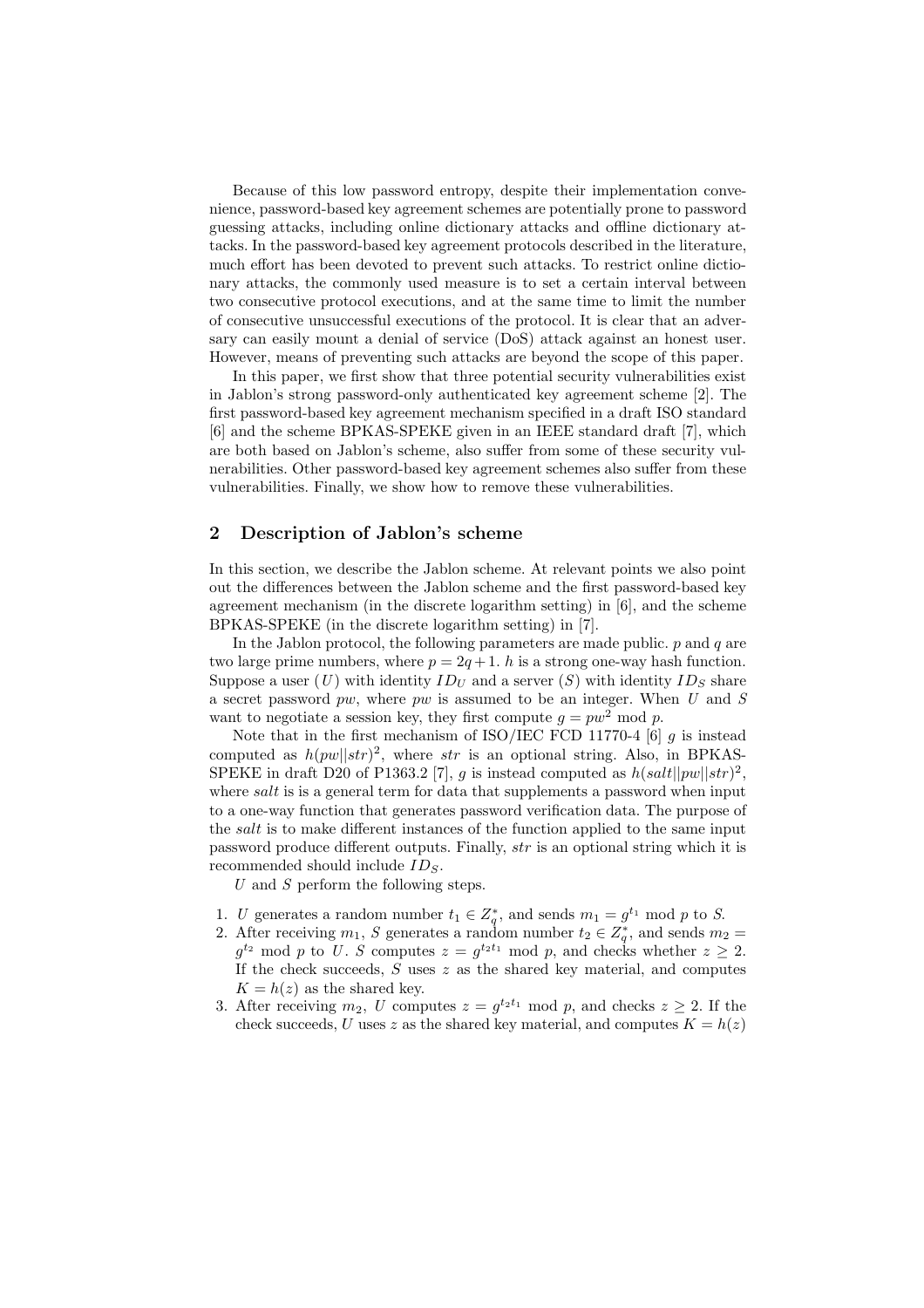Because of this low password entropy, despite their implementation convenience, password-based key agreement schemes are potentially prone to password guessing attacks, including online dictionary attacks and offline dictionary attacks. In the password-based key agreement protocols described in the literature, much effort has been devoted to prevent such attacks. To restrict online dictionary attacks, the commonly used measure is to set a certain interval between two consecutive protocol executions, and at the same time to limit the number of consecutive unsuccessful executions of the protocol. It is clear that an adversary can easily mount a denial of service (DoS) attack against an honest user. However, means of preventing such attacks are beyond the scope of this paper.

In this paper, we first show that three potential security vulnerabilities exist in Jablon's strong password-only authenticated key agreement scheme [2]. The first password-based key agreement mechanism specified in a draft ISO standard [6] and the scheme BPKAS-SPEKE given in an IEEE standard draft [7], which are both based on Jablon's scheme, also suffer from some of these security vulnerabilities. Other password-based key agreement schemes also suffer from these vulnerabilities. Finally, we show how to remove these vulnerabilities.

## 2 Description of Jablon's scheme

In this section, we describe the Jablon scheme. At relevant points we also point out the differences between the Jablon scheme and the first password-based key agreement mechanism (in the discrete logarithm setting) in [6], and the scheme BPKAS-SPEKE (in the discrete logarithm setting) in [7].

In the Jablon protocol, the following parameters are made public.  $p$  and  $q$  are two large prime numbers, where  $p = 2q + 1$ . h is a strong one-way hash function. Suppose a user  $(U)$  with identity  $ID_U$  and a server  $(S)$  with identity  $ID_S$  share a secret password  $pw$ , where  $pw$  is assumed to be an integer. When U and S want to negotiate a session key, they first compute  $g = pw^2 \text{ mod } p$ .

Note that in the first mechanism of ISO/IEC FCD 11770-4 [6]  $q$  is instead computed as  $h(pw||str)^2$ , where str is an optional string. Also, in BPKAS-SPEKE in draft D20 of P1363.2 [7], g is instead computed as  $h(salt||pw||str)^2$ , where *salt* is is a general term for data that supplements a password when input to a one-way function that generates password verification data. The purpose of the salt is to make different instances of the function applied to the same input password produce different outputs. Finally, str is an optional string which it is recommended should include  $ID<sub>S</sub>$ .

 $U$  and  $S$  perform the following steps.

- 1. U generates a random number  $t_1 \in Z_q^*$ , and sends  $m_1 = g^{t_1} \mod p$  to S.
- 2. After receiving  $m_1$ , S generates a random number  $t_2 \in Z_q^*$ , and sends  $m_2 =$  $g^{t_2}$  mod p to U. S computes  $z = g^{t_2 t_1} \mod p$ , and checks whether  $z \geq 2$ . If the check succeeds,  $S$  uses  $z$  as the shared key material, and computes  $K = h(z)$  as the shared key.
- 3. After receiving  $m_2$ , U computes  $z = g^{t_2 t_1} \mod p$ , and checks  $z \geq 2$ . If the check succeeds, U uses z as the shared key material, and computes  $K = h(z)$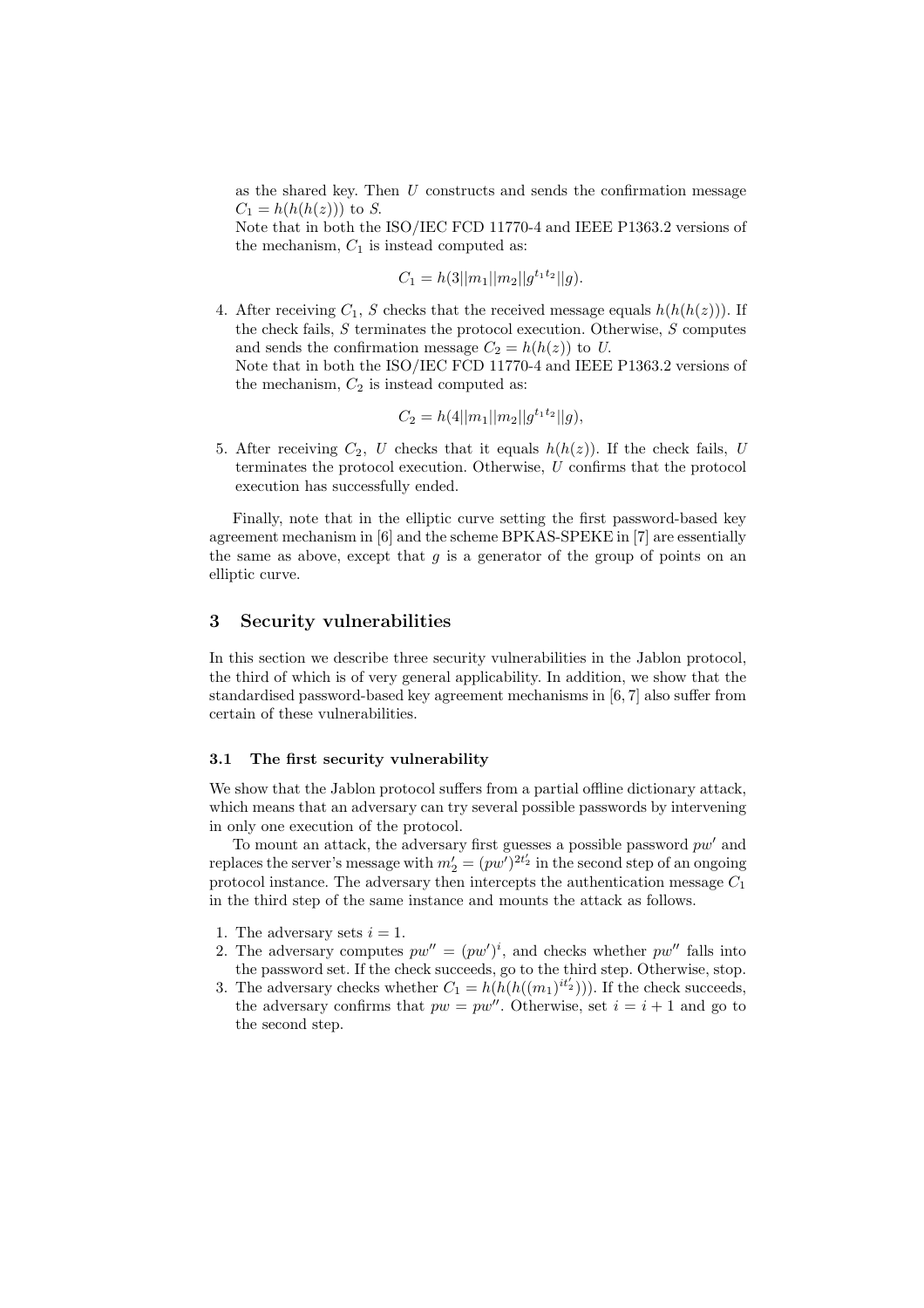as the shared key. Then  $U$  constructs and sends the confirmation message  $C_1 = h(h(h(z)))$  to S.

Note that in both the ISO/IEC FCD 11770-4 and IEEE P1363.2 versions of the mechanism,  $C_1$  is instead computed as:

$$
C_1 = h(3||m_1||m_2||g^{t_1t_2}||g).
$$

4. After receiving  $C_1$ , S checks that the received message equals  $h(h(h(z)))$ . If the check fails,  $S$  terminates the protocol execution. Otherwise,  $S$  computes and sends the confirmation message  $C_2 = h(h(z))$  to U. Note that in both the ISO/IEC FCD 11770-4 and IEEE P1363.2 versions of

$$
C_2 = h(4||m_1||m_2||g^{t_1t_2}||g),
$$

5. After receiving  $C_2$ , U checks that it equals  $h(h(z))$ . If the check fails, U terminates the protocol execution. Otherwise, U confirms that the protocol execution has successfully ended.

Finally, note that in the elliptic curve setting the first password-based key agreement mechanism in [6] and the scheme BPKAS-SPEKE in [7] are essentially the same as above, except that  $q$  is a generator of the group of points on an elliptic curve.

## 3 Security vulnerabilities

the mechanism,  $C_2$  is instead computed as:

In this section we describe three security vulnerabilities in the Jablon protocol, the third of which is of very general applicability. In addition, we show that the standardised password-based key agreement mechanisms in [6, 7] also suffer from certain of these vulnerabilities.

## 3.1 The first security vulnerability

We show that the Jablon protocol suffers from a partial offline dictionary attack, which means that an adversary can try several possible passwords by intervening in only one execution of the protocol.

To mount an attack, the adversary first guesses a possible password  $pw'$  and replaces the server's message with  $m'_2 = (pw')^{2t'_2}$  in the second step of an ongoing protocol instance. The adversary then intercepts the authentication message  $C_1$ in the third step of the same instance and mounts the attack as follows.

- 1. The adversary sets  $i = 1$ .
- 2. The adversary computes  $pw'' = (pw')^i$ , and checks whether  $pw''$  falls into the password set. If the check succeeds, go to the third step. Otherwise, stop.
- 3. The adversary checks whether  $C_1 = h(h(h((m_1)^{it'_2})))$ . If the check succeeds, the adversary confirms that  $pw = pw''$ . Otherwise, set  $i = i + 1$  and go to the second step.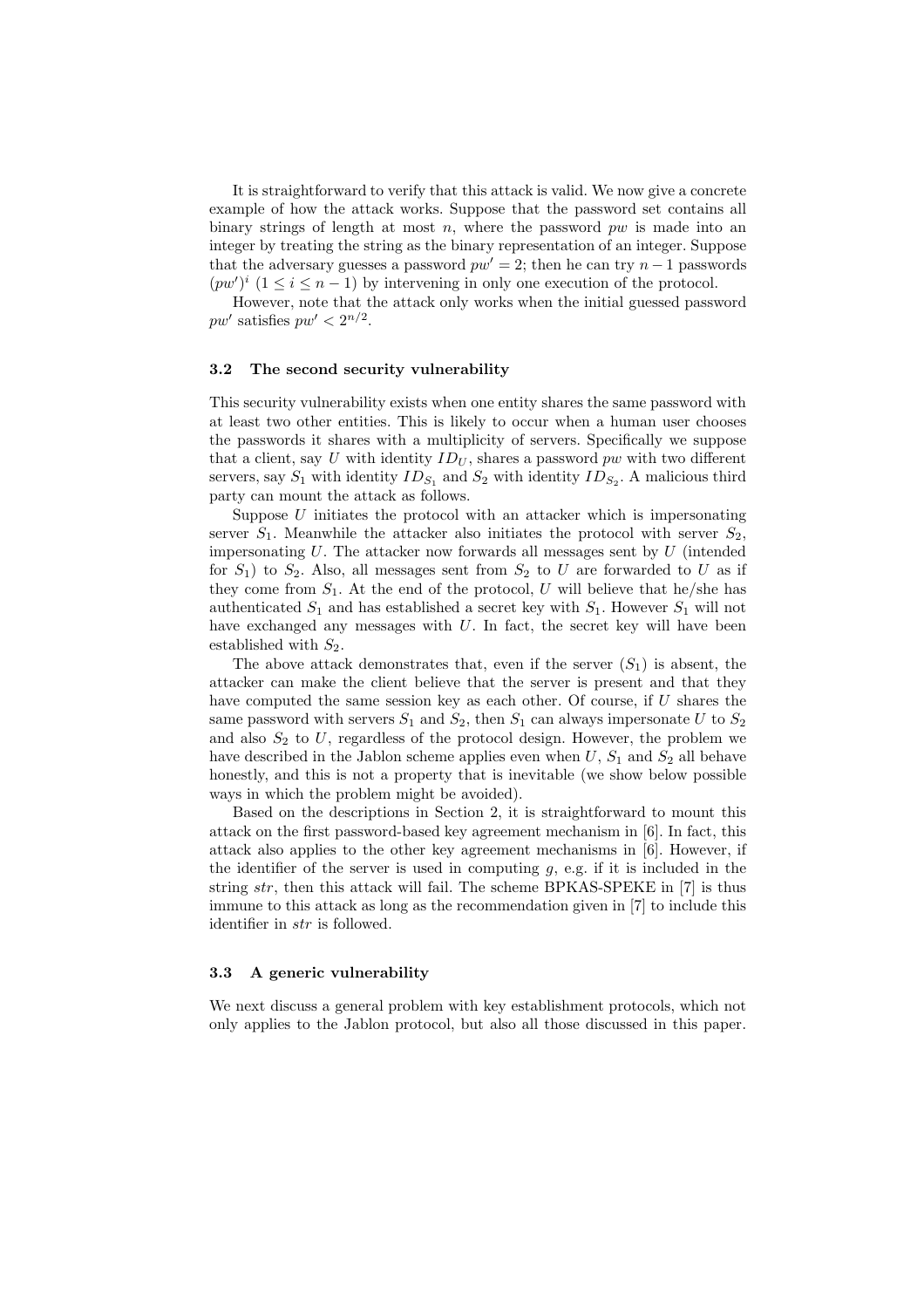It is straightforward to verify that this attack is valid. We now give a concrete example of how the attack works. Suppose that the password set contains all binary strings of length at most  $n$ , where the password  $pw$  is made into an integer by treating the string as the binary representation of an integer. Suppose that the adversary guesses a password  $pw' = 2$ ; then he can try  $n - 1$  passwords  $(pw')^i$   $(1 \leq i \leq n-1)$  by intervening in only one execution of the protocol.

However, note that the attack only works when the initial guessed password pw' satisfies  $pw' < 2^{n/2}$ .

#### 3.2 The second security vulnerability

This security vulnerability exists when one entity shares the same password with at least two other entities. This is likely to occur when a human user chooses the passwords it shares with a multiplicity of servers. Specifically we suppose that a client, say U with identity  $ID_U$ , shares a password pw with two different servers, say  $S_1$  with identity  $ID_{S_1}$  and  $S_2$  with identity  $ID_{S_2}$ . A malicious third party can mount the attack as follows.

Suppose  $U$  initiates the protocol with an attacker which is impersonating server  $S_1$ . Meanwhile the attacker also initiates the protocol with server  $S_2$ , impersonating  $U$ . The attacker now forwards all messages sent by  $U$  (intended for  $S_1$ ) to  $S_2$ . Also, all messages sent from  $S_2$  to U are forwarded to U as if they come from  $S_1$ . At the end of the protocol, U will believe that he/she has authenticated  $S_1$  and has established a secret key with  $S_1$ . However  $S_1$  will not have exchanged any messages with  $U$ . In fact, the secret key will have been established with  $S_2$ .

The above attack demonstrates that, even if the server  $(S_1)$  is absent, the attacker can make the client believe that the server is present and that they have computed the same session key as each other. Of course, if U shares the same password with servers  $S_1$  and  $S_2$ , then  $S_1$  can always impersonate U to  $S_2$ and also  $S_2$  to  $U$ , regardless of the protocol design. However, the problem we have described in the Jablon scheme applies even when  $U, S_1$  and  $S_2$  all behave honestly, and this is not a property that is inevitable (we show below possible ways in which the problem might be avoided).

Based on the descriptions in Section 2, it is straightforward to mount this attack on the first password-based key agreement mechanism in [6]. In fact, this attack also applies to the other key agreement mechanisms in [6]. However, if the identifier of the server is used in computing  $g$ , e.g. if it is included in the string  $str$ , then this attack will fail. The scheme BPKAS-SPEKE in [7] is thus immune to this attack as long as the recommendation given in [7] to include this identifier in  $str$  is followed.

#### 3.3 A generic vulnerability

We next discuss a general problem with key establishment protocols, which not only applies to the Jablon protocol, but also all those discussed in this paper.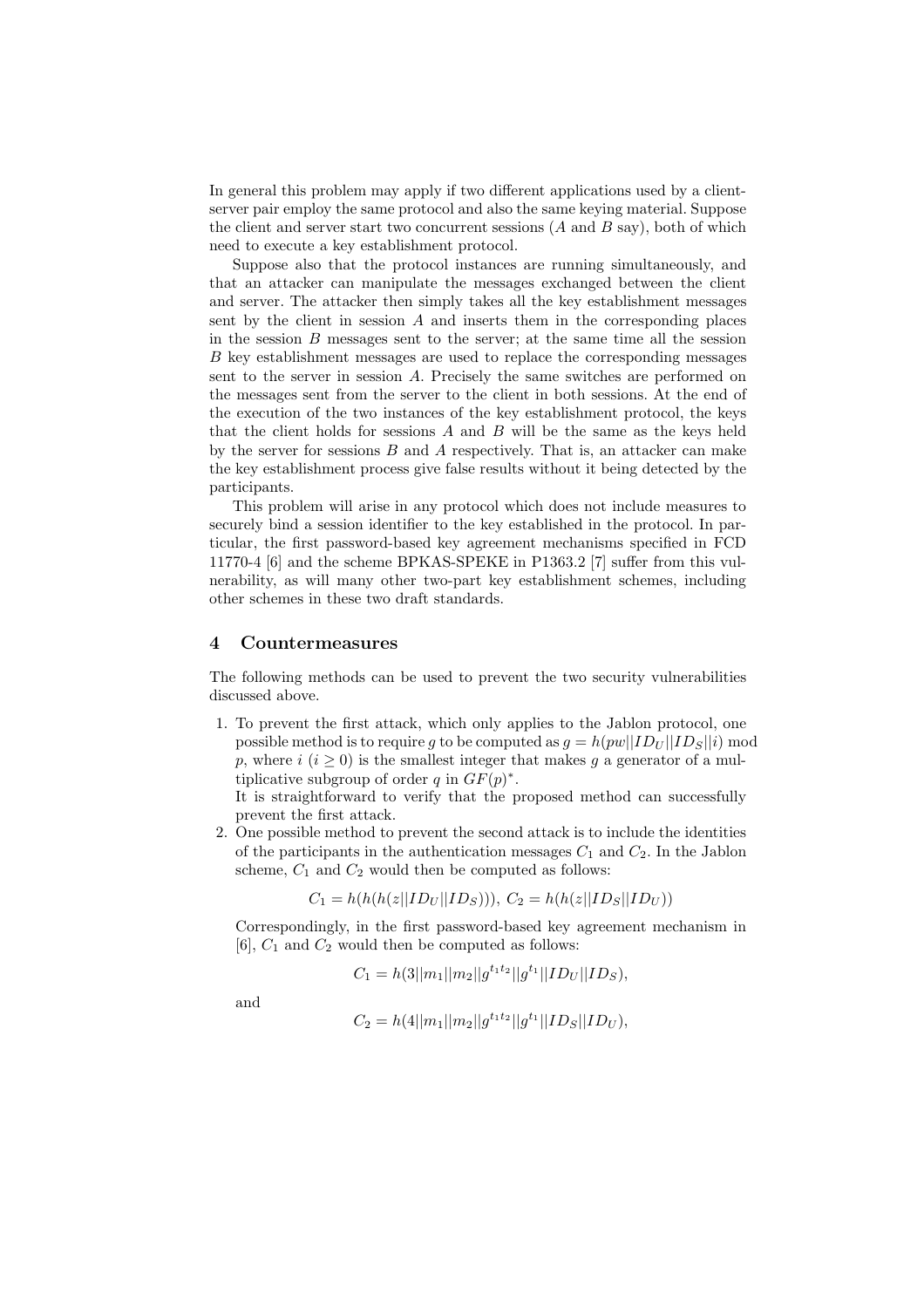In general this problem may apply if two different applications used by a clientserver pair employ the same protocol and also the same keying material. Suppose the client and server start two concurrent sessions  $(A \text{ and } B \text{ say})$ , both of which need to execute a key establishment protocol.

Suppose also that the protocol instances are running simultaneously, and that an attacker can manipulate the messages exchanged between the client and server. The attacker then simply takes all the key establishment messages sent by the client in session  $A$  and inserts them in the corresponding places in the session  $B$  messages sent to the server; at the same time all the session B key establishment messages are used to replace the corresponding messages sent to the server in session A. Precisely the same switches are performed on the messages sent from the server to the client in both sessions. At the end of the execution of the two instances of the key establishment protocol, the keys that the client holds for sessions  $A$  and  $B$  will be the same as the keys held by the server for sessions  $B$  and  $A$  respectively. That is, an attacker can make the key establishment process give false results without it being detected by the participants.

This problem will arise in any protocol which does not include measures to securely bind a session identifier to the key established in the protocol. In particular, the first password-based key agreement mechanisms specified in FCD 11770-4 [6] and the scheme BPKAS-SPEKE in P1363.2 [7] suffer from this vulnerability, as will many other two-part key establishment schemes, including other schemes in these two draft standards.

## 4 Countermeasures

The following methods can be used to prevent the two security vulnerabilities discussed above.

1. To prevent the first attack, which only applies to the Jablon protocol, one possible method is to require q to be computed as  $q = h(pw||ID_{U}||ID_{S}||i) \text{ mod }$ p, where  $i$   $(i > 0)$  is the smallest integer that makes g a generator of a multiplicative subgroup of order q in  $GF(p)^*$ .

It is straightforward to verify that the proposed method can successfully prevent the first attack.

2. One possible method to prevent the second attack is to include the identities of the participants in the authentication messages  $C_1$  and  $C_2$ . In the Jablon scheme,  $C_1$  and  $C_2$  would then be computed as follows:

$$
C_1 = h(h(h(z||ID_U||ID_S))), C_2 = h(h(z||ID_S||ID_U))
$$

Correspondingly, in the first password-based key agreement mechanism in [6],  $C_1$  and  $C_2$  would then be computed as follows:

$$
C_1 = h(3||m_1||m_2||g^{t_1t_2}||g^{t_1}||ID_U||ID_S),
$$

and

$$
C_2 = h(4||m_1||m_2||g^{t_1t_2}||g^{t_1}||ID_S||ID_U),
$$